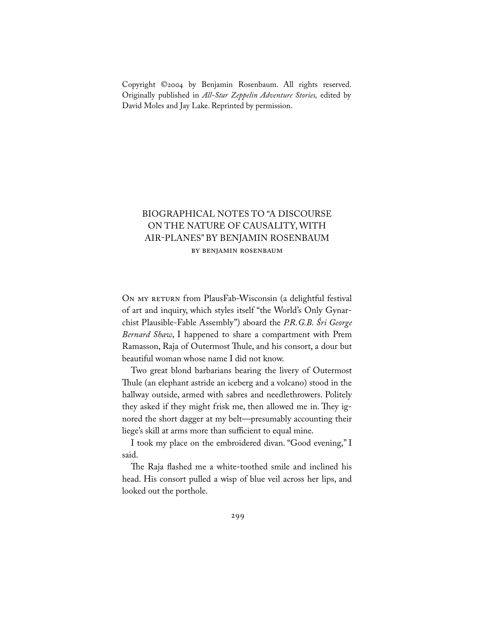Copyright ©2004 by Benjamin Rosenbaum. All rights reserved. Originally published in *All-Star Zeppelin Adventure Stories,* edited by David Moles and Jay Lake. Reprinted by permission.

# BIOGRAPHICAL NOTES TO "A DISCOURSE ON THE NATURE OF CAUSALITY, WITH AIR-PLANES" BY BENJAMIN ROSENBAUM by benjamin rosenbaum

ON MY RETURN from PlausFab-Wisconsin (a delightful festival of art and inquiry, which styles itself "the World's Only Gynarchist Plausible-Fable Assembly") aboard the *P.R.G.B. Śri George Bernard Shaw*, I happened to share a compartment with Prem Ramasson, Raja of Outermost Thule, and his consort, a dour but beautiful woman whose name I did not know.

Two great blond barbarians bearing the livery of Outermost Thule (an elephant astride an iceberg and a volcano) stood in the hallway outside, armed with sabres and needlethrowers. Politely they asked if they might frisk me, then allowed me in. They ignored the short dagger at my belt—presumably accounting their liege's skill at arms more than sufficient to equal mine.

I took my place on the embroidered divan. "Good evening," I said.

The Raja flashed me a white-toothed smile and inclined his head. His consort pulled a wisp of blue veil across her lips, and looked out the porthole.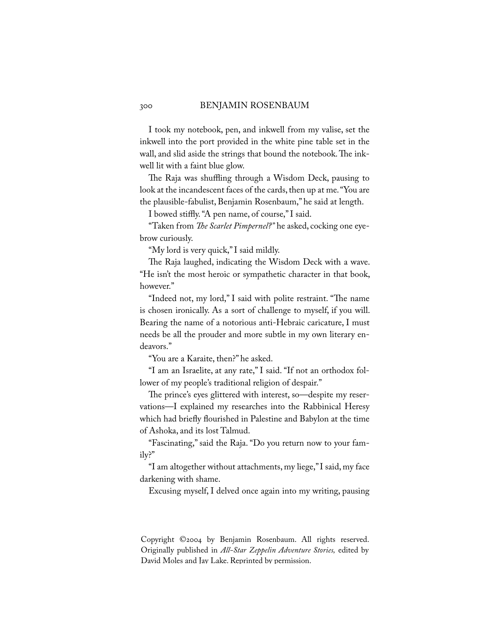I took my notebook, pen, and inkwell from my valise, set the inkwell into the port provided in the white pine table set in the wall, and slid aside the strings that bound the notebook. The inkwell lit with a faint blue glow.

The Raja was shuffling through a Wisdom Deck, pausing to look at the incandescent faces of the cards, then up at me. "You are the plausible-fabulist, Benjamin Rosenbaum," he said at length.

I bowed stiffly. "A pen name, of course," I said.

"Taken from *The Scarlet Pimpernel?"* he asked, cocking one eyebrow curiously.

"My lord is very quick," I said mildly.

The Raja laughed, indicating the Wisdom Deck with a wave. "He isn't the most heroic or sympathetic character in that book, however."

"Indeed not, my lord," I said with polite restraint. "The name is chosen ironically. As a sort of challenge to myself, if you will. Bearing the name of a notorious anti-Hebraic caricature, I must needs be all the prouder and more subtle in my own literary endeavors."

"You are a Karaite, then?" he asked.

"I am an Israelite, at any rate," I said. "If not an orthodox follower of my people's traditional religion of despair."

The prince's eyes glittered with interest, so—despite my reservations—I explained my researches into the Rabbinical Heresy which had briefly flourished in Palestine and Babylon at the time of Ashoka, and its lost Talmud.

"Fascinating," said the Raja. "Do you return now to your family?"

"I am altogether without attachments, my liege," I said, my face darkening with shame.

Excusing myself, I delved once again into my writing, pausing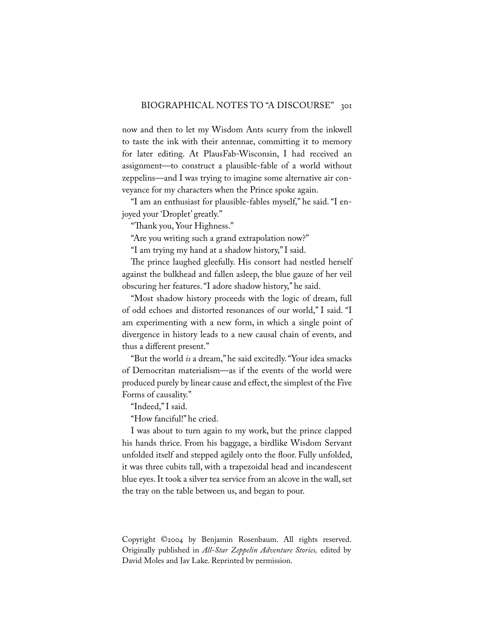now and then to let my Wisdom Ants scurry from the inkwell to taste the ink with their antennae, committing it to memory for later editing. At PlausFab-Wisconsin, I had received an assignment—to construct a plausible-fable of a world without zeppelins—and I was trying to imagine some alternative air conveyance for my characters when the Prince spoke again.

"I am an enthusiast for plausible-fables myself," he said. "I enjoyed your 'Droplet' greatly."

"Thank you, Your Highness."

"Are you writing such a grand extrapolation now?"

"I am trying my hand at a shadow history," I said.

The prince laughed gleefully. His consort had nestled herself against the bulkhead and fallen asleep, the blue gauze of her veil obscuring her features. "I adore shadow history," he said.

"Most shadow history proceeds with the logic of dream, full of odd echoes and distorted resonances of our world," I said. "I am experimenting with a new form, in which a single point of divergence in history leads to a new causal chain of events, and thus a different present."

"But the world *is* a dream," he said excitedly. "Your idea smacks of Democritan materialism—as if the events of the world were produced purely by linear cause and effect, the simplest of the Five Forms of causality."

"Indeed," I said.

"How fanciful!" he cried.

I was about to turn again to my work, but the prince clapped his hands thrice. From his baggage, a birdlike Wisdom Servant unfolded itself and stepped agilely onto the floor. Fully unfolded, it was three cubits tall, with a trapezoidal head and incandescent blue eyes. It took a silver tea service from an alcove in the wall, set the tray on the table between us, and began to pour.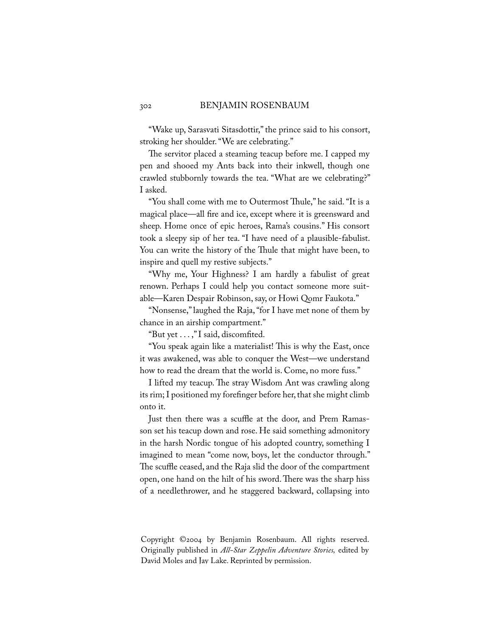"Wake up, Sarasvati Sitasdottir," the prince said to his consort, stroking her shoulder. "We are celebrating."

The servitor placed a steaming teacup before me. I capped my pen and shooed my Ants back into their inkwell, though one crawled stubbornly towards the tea. "What are we celebrating?" I asked.

"You shall come with me to Outermost Thule," he said. "It is a magical place—all fire and ice, except where it is greensward and sheep. Home once of epic heroes, Rama's cousins." His consort took a sleepy sip of her tea. "I have need of a plausible-fabulist. You can write the history of the Thule that might have been, to inspire and quell my restive subjects."

"Why me, Your Highness? I am hardly a fabulist of great renown. Perhaps I could help you contact someone more suitable—Karen Despair Robinson, say, or Howi Qomr Faukota."

"Nonsense," laughed the Raja, "for I have met none of them by chance in an airship compartment."

"But yet . . . ," I said, discomfited.

"You speak again like a materialist! This is why the East, once it was awakened, was able to conquer the West—we understand how to read the dream that the world is. Come, no more fuss."

I lifted my teacup. The stray Wisdom Ant was crawling along its rim; I positioned my forefinger before her, that she might climb onto it.

Just then there was a scuffle at the door, and Prem Ramasson set his teacup down and rose. He said something admonitory in the harsh Nordic tongue of his adopted country, something I imagined to mean "come now, boys, let the conductor through." The scuffle ceased, and the Raja slid the door of the compartment open, one hand on the hilt of his sword. There was the sharp hiss of a needlethrower, and he staggered backward, collapsing into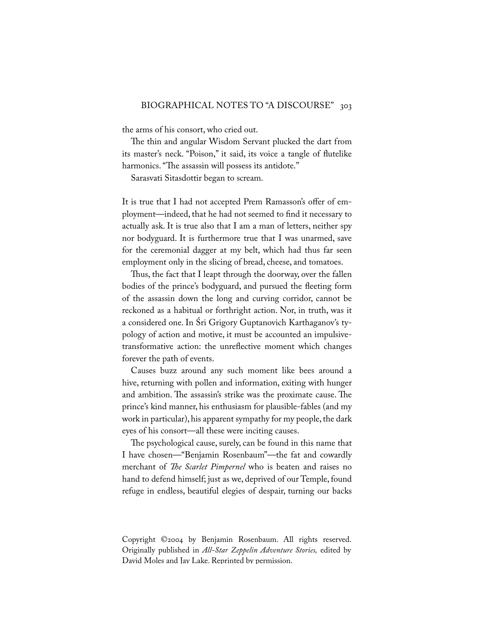# BIOGRAPHICAL NOTES TO "A DISCOURSE" 303

the arms of his consort, who cried out.

The thin and angular Wisdom Servant plucked the dart from its master's neck. "Poison," it said, its voice a tangle of flutelike harmonics. "The assassin will possess its antidote."

Sarasvati Sitasdottir began to scream.

It is true that I had not accepted Prem Ramasson's offer of employment—indeed, that he had not seemed to find it necessary to actually ask. It is true also that I am a man of letters, neither spy nor bodyguard. It is furthermore true that I was unarmed, save for the ceremonial dagger at my belt, which had thus far seen employment only in the slicing of bread, cheese, and tomatoes.

Thus, the fact that I leapt through the doorway, over the fallen bodies of the prince's bodyguard, and pursued the fleeting form of the assassin down the long and curving corridor, cannot be reckoned as a habitual or forthright action. Nor, in truth, was it a considered one. In Śri Grigory Guptanovich Karthaganov's typology of action and motive, it must be accounted an impulsivetransformative action: the unreflective moment which changes forever the path of events.

Causes buzz around any such moment like bees around a hive, returning with pollen and information, exiting with hunger and ambition. The assassin's strike was the proximate cause. The prince's kind manner, his enthusiasm for plausible-fables (and my work in particular), his apparent sympathy for my people, the dark eyes of his consort—all these were inciting causes.

The psychological cause, surely, can be found in this name that I have chosen—"Benjamin Rosenbaum"—the fat and cowardly merchant of *The Scarlet Pimpernel* who is beaten and raises no hand to defend himself; just as we, deprived of our Temple, found refuge in endless, beautiful elegies of despair, turning our backs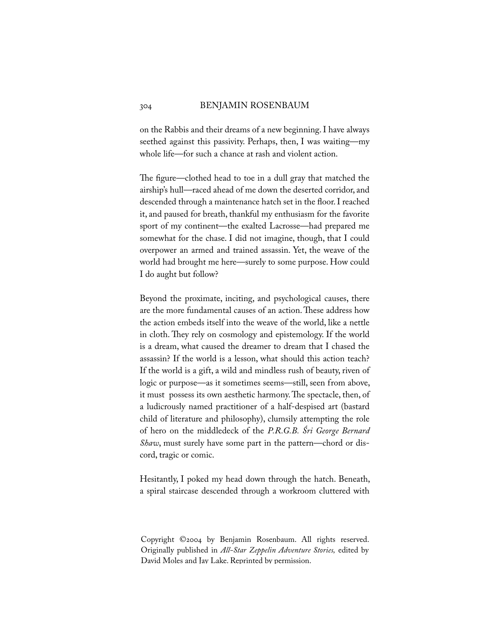on the Rabbis and their dreams of a new beginning. I have always seethed against this passivity. Perhaps, then, I was waiting—my whole life—for such a chance at rash and violent action.

The figure—clothed head to toe in a dull gray that matched the airship's hull—raced ahead of me down the deserted corridor, and descended through a maintenance hatch set in the floor. I reached it, and paused for breath, thankful my enthusiasm for the favorite sport of my continent—the exalted Lacrosse—had prepared me somewhat for the chase. I did not imagine, though, that I could overpower an armed and trained assassin. Yet, the weave of the world had brought me here—surely to some purpose. How could I do aught but follow?

Beyond the proximate, inciting, and psychological causes, there are the more fundamental causes of an action. These address how the action embeds itself into the weave of the world, like a nettle in cloth. They rely on cosmology and epistemology. If the world is a dream, what caused the dreamer to dream that I chased the assassin? If the world is a lesson, what should this action teach? If the world is a gift, a wild and mindless rush of beauty, riven of logic or purpose—as it sometimes seems—still, seen from above, it must possess its own aesthetic harmony. The spectacle, then, of a ludicrously named practitioner of a half-despised art (bastard child of literature and philosophy), clumsily attempting the role of hero on the middledeck of the *P.R.G.B. Śri George Bernard Shaw*, must surely have some part in the pattern—chord or discord, tragic or comic.

Hesitantly, I poked my head down through the hatch. Beneath, a spiral staircase descended through a workroom cluttered with

Copyright ©2004 by Benjamin Rosenbaum. All rights reserved. Originally published in *All-Star Zeppelin Adventure Stories,* edited by David Moles and Jay Lake. Reprinted by permission.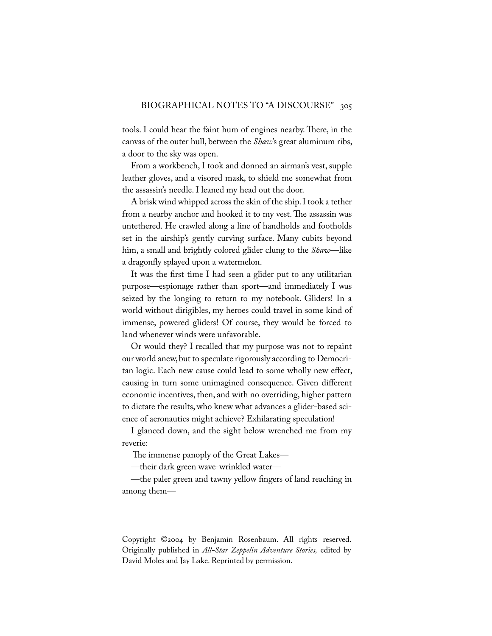tools. I could hear the faint hum of engines nearby. There, in the canvas of the outer hull, between the *Shaw*'s great aluminum ribs, a door to the sky was open.

From a workbench, I took and donned an airman's vest, supple leather gloves, and a visored mask, to shield me somewhat from the assassin's needle. I leaned my head out the door.

A brisk wind whipped across the skin of the ship. I took a tether from a nearby anchor and hooked it to my vest. The assassin was untethered. He crawled along a line of handholds and footholds set in the airship's gently curving surface. Many cubits beyond him, a small and brightly colored glider clung to the *Shaw*—like a dragonfly splayed upon a watermelon.

It was the first time I had seen a glider put to any utilitarian purpose—espionage rather than sport—and immediately I was seized by the longing to return to my notebook. Gliders! In a world without dirigibles, my heroes could travel in some kind of immense, powered gliders! Of course, they would be forced to land whenever winds were unfavorable.

Or would they? I recalled that my purpose was not to repaint our world anew, but to speculate rigorously according to Democritan logic. Each new cause could lead to some wholly new effect, causing in turn some unimagined consequence. Given different economic incentives, then, and with no overriding, higher pattern to dictate the results, who knew what advances a glider-based science of aeronautics might achieve? Exhilarating speculation!

I glanced down, and the sight below wrenched me from my reverie:

The immense panoply of the Great Lakes-

—their dark green wave-wrinkled water—

—the paler green and tawny yellow fingers of land reaching in among them—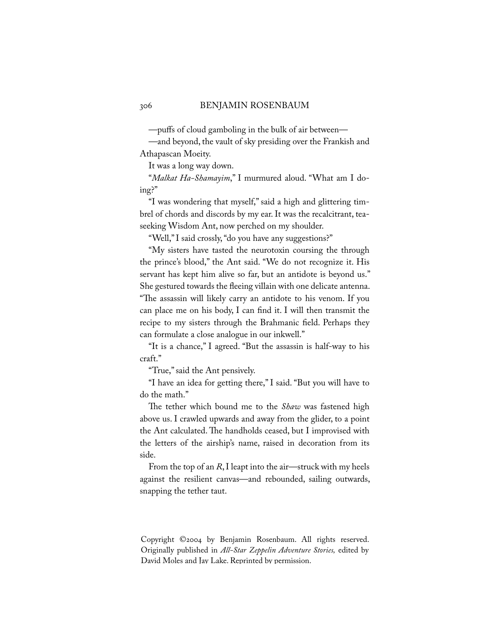—puffs of cloud gamboling in the bulk of air between—

—and beyond, the vault of sky presiding over the Frankish and Athapascan Moeity.

It was a long way down.

"*Malkat Ha-Shamayim*," I murmured aloud. "What am I doing?"

"I was wondering that myself," said a high and glittering timbrel of chords and discords by my ear. It was the recalcitrant, teaseeking Wisdom Ant, now perched on my shoulder.

"Well," I said crossly, "do you have any suggestions?"

"My sisters have tasted the neurotoxin coursing the through the prince's blood," the Ant said. "We do not recognize it. His servant has kept him alive so far, but an antidote is beyond us." She gestured towards the fleeing villain with one delicate antenna. "The assassin will likely carry an antidote to his venom. If you can place me on his body, I can find it. I will then transmit the recipe to my sisters through the Brahmanic field. Perhaps they can formulate a close analogue in our inkwell."

"It is a chance," I agreed. "But the assassin is half-way to his craft."

"True," said the Ant pensively.

"I have an idea for getting there," I said. "But you will have to do the math."

The tether which bound me to the *Shaw* was fastened high above us. I crawled upwards and away from the glider, to a point the Ant calculated. The handholds ceased, but I improvised with the letters of the airship's name, raised in decoration from its side.

From the top of an *R*, I leapt into the air—struck with my heels against the resilient canvas—and rebounded, sailing outwards, snapping the tether taut.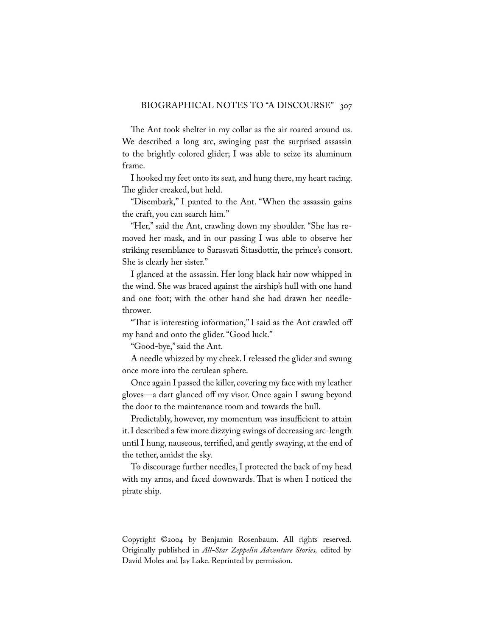The Ant took shelter in my collar as the air roared around us. We described a long arc, swinging past the surprised assassin to the brightly colored glider; I was able to seize its aluminum frame.

I hooked my feet onto its seat, and hung there, my heart racing. The glider creaked, but held.

"Disembark," I panted to the Ant. "When the assassin gains the craft, you can search him."

"Her," said the Ant, crawling down my shoulder. "She has removed her mask, and in our passing I was able to observe her striking resemblance to Sarasvati Sitasdottir, the prince's consort. She is clearly her sister."

I glanced at the assassin. Her long black hair now whipped in the wind. She was braced against the airship's hull with one hand and one foot; with the other hand she had drawn her needlethrower.

"That is interesting information," I said as the Ant crawled off my hand and onto the glider. "Good luck."

"Good-bye," said the Ant.

A needle whizzed by my cheek. I released the glider and swung once more into the cerulean sphere.

Once again I passed the killer, covering my face with my leather gloves—a dart glanced off my visor. Once again I swung beyond the door to the maintenance room and towards the hull.

Predictably, however, my momentum was insufficient to attain it. I described a few more dizzying swings of decreasing arc-length until I hung, nauseous, terrified, and gently swaying, at the end of the tether, amidst the sky.

To discourage further needles, I protected the back of my head with my arms, and faced downwards. That is when I noticed the pirate ship.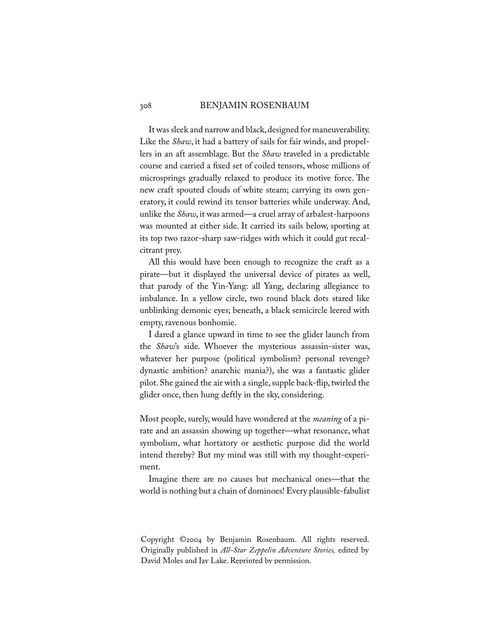It was sleek and narrow and black, designed for maneuverability. Like the *Shaw*, it had a battery of sails for fair winds, and propellers in an aft assemblage. But the *Shaw* traveled in a predictable course and carried a fixed set of coiled tensors, whose millions of microsprings gradually relaxed to produce its motive force. The new craft spouted clouds of white steam; carrying its own generatory, it could rewind its tensor batteries while underway. And, unlike the *Shaw*, it was armed—a cruel array of arbalest-harpoons was mounted at either side. It carried its sails below, sporting at its top two razor-sharp saw-ridges with which it could gut recalcitrant prey.

All this would have been enough to recognize the craft as a pirate—but it displayed the universal device of pirates as well, that parody of the Yin-Yang: all Yang, declaring allegiance to imbalance. In a yellow circle, two round black dots stared like unblinking demonic eyes; beneath, a black semicircle leered with empty, ravenous bonhomie.

I dared a glance upward in time to see the glider launch from the *Shaw*'s side. Whoever the mysterious assassin-sister was, whatever her purpose (political symbolism? personal revenge? dynastic ambition? anarchic mania?), she was a fantastic glider pilot. She gained the air with a single, supple back-flip, twirled the glider once, then hung deftly in the sky, considering.

Most people, surely, would have wondered at the *meaning* of a pirate and an assassin showing up together—what resonance, what symbolism, what hortatory or aesthetic purpose did the world intend thereby? But my mind was still with my thought-experiment.

Imagine there are no causes but mechanical ones—that the world is nothing but a chain of dominoes! Every plausible-fabulist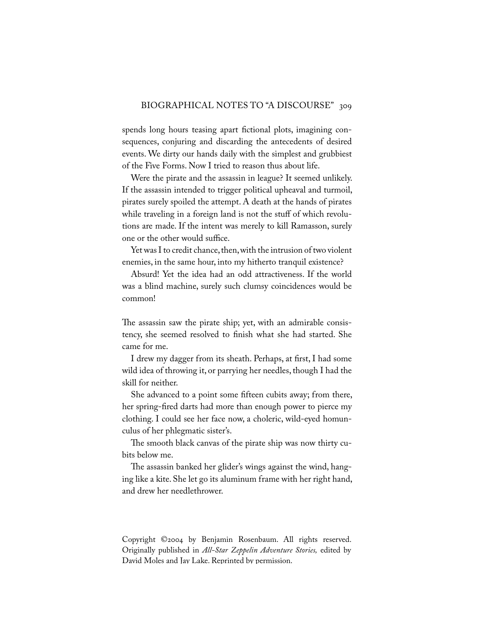spends long hours teasing apart fictional plots, imagining consequences, conjuring and discarding the antecedents of desired events. We dirty our hands daily with the simplest and grubbiest of the Five Forms. Now I tried to reason thus about life.

Were the pirate and the assassin in league? It seemed unlikely. If the assassin intended to trigger political upheaval and turmoil, pirates surely spoiled the attempt. A death at the hands of pirates while traveling in a foreign land is not the stuff of which revolutions are made. If the intent was merely to kill Ramasson, surely one or the other would suffice.

Yet was I to credit chance, then, with the intrusion of two violent enemies, in the same hour, into my hitherto tranquil existence?

Absurd! Yet the idea had an odd attractiveness. If the world was a blind machine, surely such clumsy coincidences would be common!

The assassin saw the pirate ship; yet, with an admirable consistency, she seemed resolved to finish what she had started. She came for me.

I drew my dagger from its sheath. Perhaps, at first, I had some wild idea of throwing it, or parrying her needles, though I had the skill for neither.

She advanced to a point some fifteen cubits away; from there, her spring-fired darts had more than enough power to pierce my clothing. I could see her face now, a choleric, wild-eyed homunculus of her phlegmatic sister's.

The smooth black canvas of the pirate ship was now thirty cubits below me.

The assassin banked her glider's wings against the wind, hanging like a kite. She let go its aluminum frame with her right hand, and drew her needlethrower.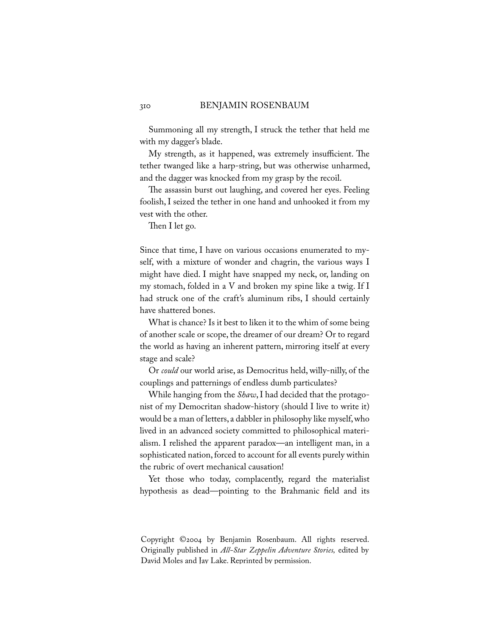Summoning all my strength, I struck the tether that held me with my dagger's blade.

My strength, as it happened, was extremely insufficient. The tether twanged like a harp-string, but was otherwise unharmed, and the dagger was knocked from my grasp by the recoil.

The assassin burst out laughing, and covered her eyes. Feeling foolish, I seized the tether in one hand and unhooked it from my vest with the other.

Then I let go.

Since that time, I have on various occasions enumerated to myself, with a mixture of wonder and chagrin, the various ways I might have died. I might have snapped my neck, or, landing on my stomach, folded in a V and broken my spine like a twig. If I had struck one of the craft's aluminum ribs, I should certainly have shattered bones.

What is chance? Is it best to liken it to the whim of some being of another scale or scope, the dreamer of our dream? Or to regard the world as having an inherent pattern, mirroring itself at every stage and scale?

Or *could* our world arise, as Democritus held, willy-nilly, of the couplings and patternings of endless dumb particulates?

While hanging from the *Shaw*, I had decided that the protagonist of my Democritan shadow-history (should I live to write it) would be a man of letters, a dabbler in philosophy like myself, who lived in an advanced society committed to philosophical materialism. I relished the apparent paradox—an intelligent man, in a sophisticated nation, forced to account for all events purely within the rubric of overt mechanical causation!

Yet those who today, complacently, regard the materialist hypothesis as dead—pointing to the Brahmanic field and its

Copyright ©2004 by Benjamin Rosenbaum. All rights reserved. Originally published in *All-Star Zeppelin Adventure Stories,* edited by David Moles and Jay Lake. Reprinted by permission.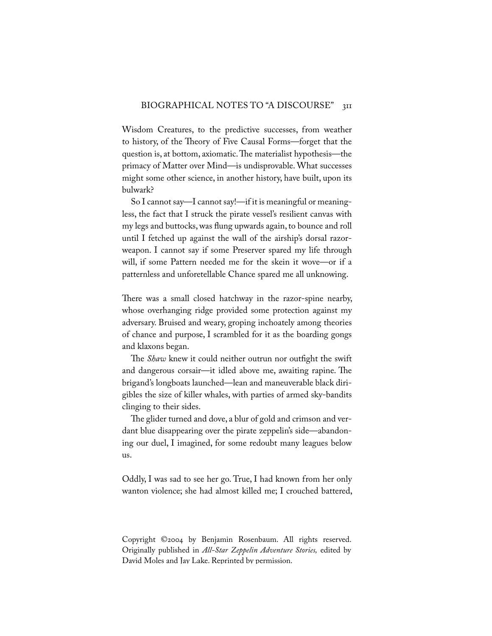Wisdom Creatures, to the predictive successes, from weather to history, of the Theory of Five Causal Forms—forget that the question is, at bottom, axiomatic. The materialist hypothesis—the primacy of Matter over Mind—is undisprovable. What successes might some other science, in another history, have built, upon its bulwark?

So I cannot say—I cannot say!—if it is meaningful or meaningless, the fact that I struck the pirate vessel's resilient canvas with my legs and buttocks, was flung upwards again, to bounce and roll until I fetched up against the wall of the airship's dorsal razorweapon. I cannot say if some Preserver spared my life through will, if some Pattern needed me for the skein it wove—or if a patternless and unforetellable Chance spared me all unknowing.

There was a small closed hatchway in the razor-spine nearby, whose overhanging ridge provided some protection against my adversary. Bruised and weary, groping inchoately among theories of chance and purpose, I scrambled for it as the boarding gongs and klaxons began.

The *Shaw* knew it could neither outrun nor outfight the swift and dangerous corsair—it idled above me, awaiting rapine. The brigand's longboats launched—lean and maneuverable black dirigibles the size of killer whales, with parties of armed sky-bandits clinging to their sides.

The glider turned and dove, a blur of gold and crimson and verdant blue disappearing over the pirate zeppelin's side—abandoning our duel, I imagined, for some redoubt many leagues below us.

Oddly, I was sad to see her go. True, I had known from her only wanton violence; she had almost killed me; I crouched battered,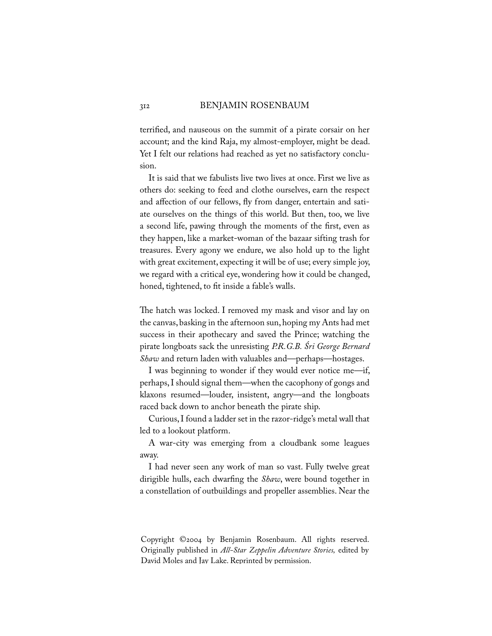terrified, and nauseous on the summit of a pirate corsair on her account; and the kind Raja, my almost-employer, might be dead. Yet I felt our relations had reached as yet no satisfactory conclusion.

It is said that we fabulists live two lives at once. First we live as others do: seeking to feed and clothe ourselves, earn the respect and affection of our fellows, fly from danger, entertain and satiate ourselves on the things of this world. But then, too, we live a second life, pawing through the moments of the first, even as they happen, like a market-woman of the bazaar sifting trash for treasures. Every agony we endure, we also hold up to the light with great excitement, expecting it will be of use; every simple joy, we regard with a critical eye, wondering how it could be changed, honed, tightened, to fit inside a fable's walls.

The hatch was locked. I removed my mask and visor and lay on the canvas, basking in the afternoon sun, hoping my Ants had met success in their apothecary and saved the Prince; watching the pirate longboats sack the unresisting *P.R.G.B. Śri George Bernard Shaw* and return laden with valuables and—perhaps—hostages.

I was beginning to wonder if they would ever notice me—if, perhaps, I should signal them—when the cacophony of gongs and klaxons resumed—louder, insistent, angry—and the longboats raced back down to anchor beneath the pirate ship.

Curious, I found a ladder set in the razor-ridge's metal wall that led to a lookout platform.

A war-city was emerging from a cloudbank some leagues away.

I had never seen any work of man so vast. Fully twelve great dirigible hulls, each dwarfing the *Shaw*, were bound together in a constellation of outbuildings and propeller assemblies. Near the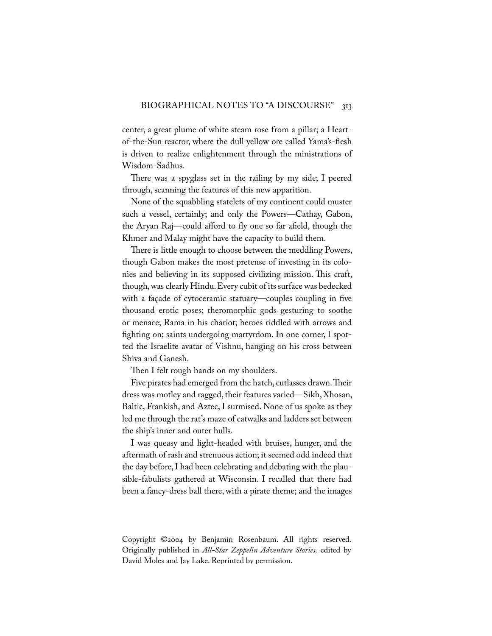center, a great plume of white steam rose from a pillar; a Heartof-the-Sun reactor, where the dull yellow ore called Yama's-flesh is driven to realize enlightenment through the ministrations of Wisdom-Sadhus.

There was a spyglass set in the railing by my side; I peered through, scanning the features of this new apparition.

None of the squabbling statelets of my continent could muster such a vessel, certainly; and only the Powers—Cathay, Gabon, the Aryan Raj—could afford to fly one so far afield, though the Khmer and Malay might have the capacity to build them.

There is little enough to choose between the meddling Powers, though Gabon makes the most pretense of investing in its colonies and believing in its supposed civilizing mission. This craft, though, was clearly Hindu. Every cubit of its surface was bedecked with a façade of cytoceramic statuary—couples coupling in five thousand erotic poses; theromorphic gods gesturing to soothe or menace; Rama in his chariot; heroes riddled with arrows and fighting on; saints undergoing martyrdom. In one corner, I spotted the Israelite avatar of Vishnu, hanging on his cross between Shiva and Ganesh.

Then I felt rough hands on my shoulders.

Five pirates had emerged from the hatch, cutlasses drawn. Their dress was motley and ragged, their features varied—Sikh, Xhosan, Baltic, Frankish, and Aztec, I surmised. None of us spoke as they led me through the rat's maze of catwalks and ladders set between the ship's inner and outer hulls.

I was queasy and light-headed with bruises, hunger, and the aftermath of rash and strenuous action; it seemed odd indeed that the day before, I had been celebrating and debating with the plausible-fabulists gathered at Wisconsin. I recalled that there had been a fancy-dress ball there, with a pirate theme; and the images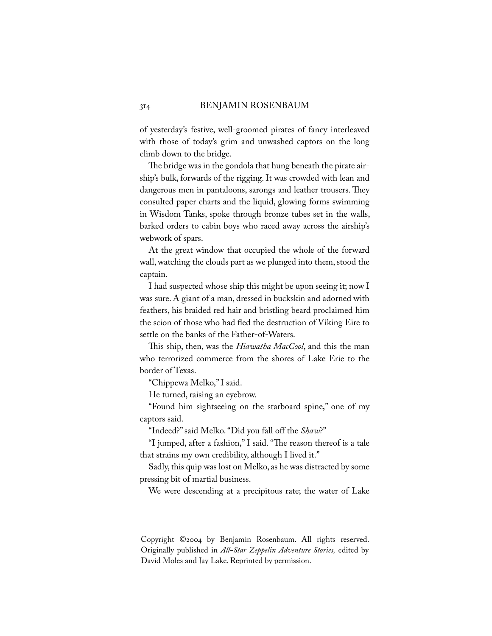of yesterday's festive, well-groomed pirates of fancy interleaved with those of today's grim and unwashed captors on the long climb down to the bridge.

The bridge was in the gondola that hung beneath the pirate airship's bulk, forwards of the rigging. It was crowded with lean and dangerous men in pantaloons, sarongs and leather trousers. They consulted paper charts and the liquid, glowing forms swimming in Wisdom Tanks, spoke through bronze tubes set in the walls, barked orders to cabin boys who raced away across the airship's webwork of spars.

At the great window that occupied the whole of the forward wall, watching the clouds part as we plunged into them, stood the captain.

I had suspected whose ship this might be upon seeing it; now I was sure. A giant of a man, dressed in buckskin and adorned with feathers, his braided red hair and bristling beard proclaimed him the scion of those who had fled the destruction of Viking Eire to settle on the banks of the Father-of-Waters.

This ship, then, was the *Hiawatha MacCool*, and this the man who terrorized commerce from the shores of Lake Erie to the border of Texas.

"Chippewa Melko," I said.

He turned, raising an eyebrow.

"Found him sightseeing on the starboard spine," one of my captors said.

"Indeed?" said Melko. "Did you fall off the *Shaw*?"

"I jumped, after a fashion," I said. "The reason thereof is a tale that strains my own credibility, although I lived it."

Sadly, this quip was lost on Melko, as he was distracted by some pressing bit of martial business.

We were descending at a precipitous rate; the water of Lake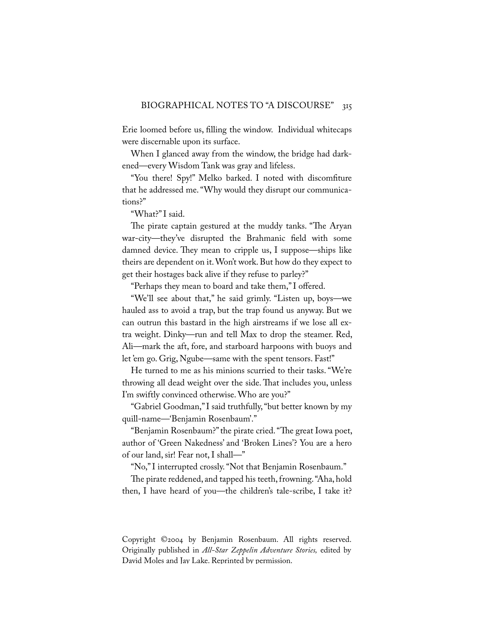Erie loomed before us, filling the window. Individual whitecaps were discernable upon its surface.

When I glanced away from the window, the bridge had darkened—every Wisdom Tank was gray and lifeless.

"You there! Spy!" Melko barked. I noted with discomfiture that he addressed me. "Why would they disrupt our communications?"

"What?" I said.

The pirate captain gestured at the muddy tanks. "The Aryan war-city-they've disrupted the Brahmanic field with some damned device. They mean to cripple us, I suppose—ships like theirs are dependent on it. Won't work. But how do they expect to get their hostages back alive if they refuse to parley?"

"Perhaps they mean to board and take them," I offered.

"We'll see about that," he said grimly. "Listen up, boys—we hauled ass to avoid a trap, but the trap found us anyway. But we can outrun this bastard in the high airstreams if we lose all extra weight. Dinky—run and tell Max to drop the steamer. Red, Ali—mark the aft, fore, and starboard harpoons with buoys and let 'em go. Grig, Ngube—same with the spent tensors. Fast!"

He turned to me as his minions scurried to their tasks. "We're throwing all dead weight over the side. That includes you, unless I'm swiftly convinced otherwise. Who are you?"

"Gabriel Goodman," I said truthfully, "but better known by my quill-name—'Benjamin Rosenbaum'."

"Benjamin Rosenbaum?" the pirate cried. "The great Iowa poet, author of 'Green Nakedness' and 'Broken Lines'? You are a hero of our land, sir! Fear not, I shall—"

"No," I interrupted crossly. "Not that Benjamin Rosenbaum."

The pirate reddened, and tapped his teeth, frowning. "Aha, hold then, I have heard of you—the children's tale-scribe, I take it?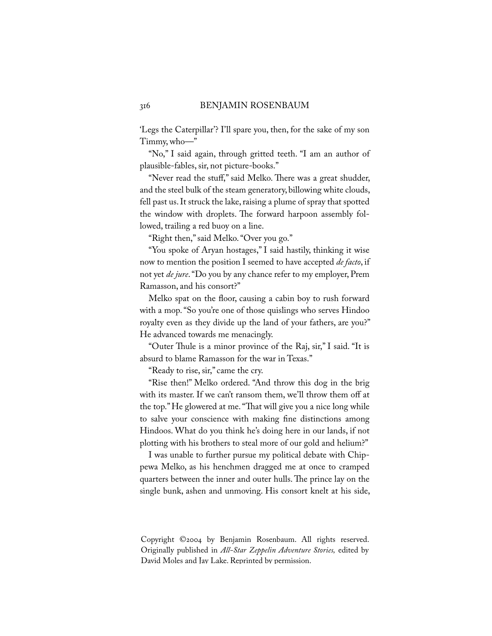'Legs the Caterpillar'? I'll spare you, then, for the sake of my son Timmy, who—"

"No," I said again, through gritted teeth. "I am an author of plausible-fables, sir, not picture-books."

"Never read the stuff," said Melko. There was a great shudder, and the steel bulk of the steam generatory, billowing white clouds, fell past us. It struck the lake, raising a plume of spray that spotted the window with droplets. The forward harpoon assembly followed, trailing a red buoy on a line.

"Right then," said Melko. "Over you go."

"You spoke of Aryan hostages," I said hastily, thinking it wise now to mention the position I seemed to have accepted *de facto*, if not yet *de jure*. "Do you by any chance refer to my employer, Prem Ramasson, and his consort?"

Melko spat on the floor, causing a cabin boy to rush forward with a mop. "So you're one of those quislings who serves Hindoo royalty even as they divide up the land of your fathers, are you?" He advanced towards me menacingly.

"Outer Thule is a minor province of the Raj, sir," I said. "It is absurd to blame Ramasson for the war in Texas."

"Ready to rise, sir," came the cry.

"Rise then!" Melko ordered. "And throw this dog in the brig with its master. If we can't ransom them, we'll throw them off at the top." He glowered at me. "That will give you a nice long while to salve your conscience with making fine distinctions among Hindoos. What do you think he's doing here in our lands, if not plotting with his brothers to steal more of our gold and helium?"

I was unable to further pursue my political debate with Chippewa Melko, as his henchmen dragged me at once to cramped quarters between the inner and outer hulls. The prince lay on the single bunk, ashen and unmoving. His consort knelt at his side,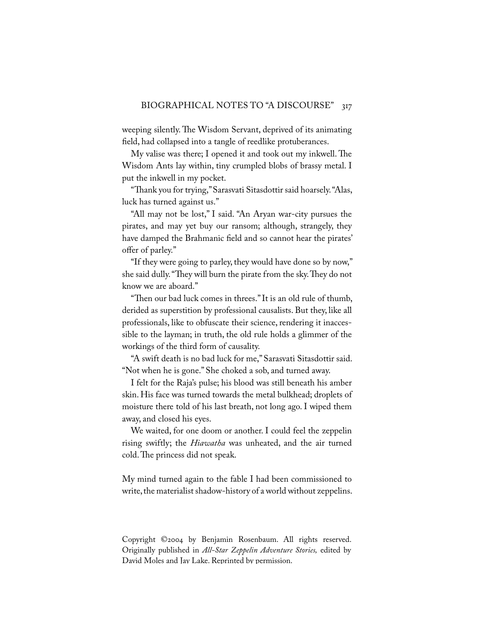weeping silently. The Wisdom Servant, deprived of its animating field, had collapsed into a tangle of reedlike protuberances.

My valise was there; I opened it and took out my inkwell. The Wisdom Ants lay within, tiny crumpled blobs of brassy metal. I put the inkwell in my pocket.

"Th ank you for trying," Sarasvati Sitasdottir said hoarsely. "Alas, luck has turned against us."

"All may not be lost," I said. "An Aryan war-city pursues the pirates, and may yet buy our ransom; although, strangely, they have damped the Brahmanic field and so cannot hear the pirates' offer of parley."

"If they were going to parley, they would have done so by now," she said dully. "They will burn the pirate from the sky. They do not know we are aboard."

"Then our bad luck comes in threes." It is an old rule of thumb, derided as superstition by professional causalists. But they, like all professionals, like to obfuscate their science, rendering it inaccessible to the layman; in truth, the old rule holds a glimmer of the workings of the third form of causality.

"A swift death is no bad luck for me," Sarasvati Sitasdottir said. "Not when he is gone." She choked a sob, and turned away.

I felt for the Raja's pulse; his blood was still beneath his amber skin. His face was turned towards the metal bulkhead; droplets of moisture there told of his last breath, not long ago. I wiped them away, and closed his eyes.

We waited, for one doom or another. I could feel the zeppelin rising swiftly; the *Hiawatha* was unheated, and the air turned cold. The princess did not speak.

My mind turned again to the fable I had been commissioned to write, the materialist shadow-history of a world without zeppelins.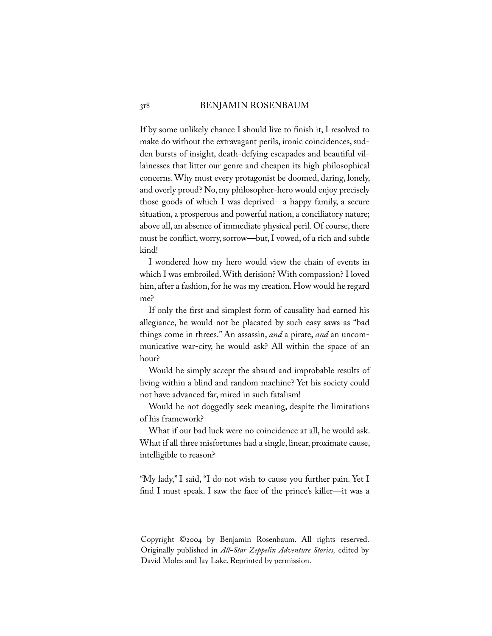If by some unlikely chance I should live to finish it, I resolved to make do without the extravagant perils, ironic coincidences, sudden bursts of insight, death-defying escapades and beautiful villainesses that litter our genre and cheapen its high philosophical concerns. Why must every protagonist be doomed, daring, lonely, and overly proud? No, my philosopher-hero would enjoy precisely those goods of which I was deprived—a happy family, a secure situation, a prosperous and powerful nation, a conciliatory nature; above all, an absence of immediate physical peril. Of course, there must be conflict, worry, sorrow-but, I vowed, of a rich and subtle kind!

I wondered how my hero would view the chain of events in which I was embroiled. With derision? With compassion? I loved him, after a fashion, for he was my creation. How would he regard me?

If only the first and simplest form of causality had earned his allegiance, he would not be placated by such easy saws as "bad things come in threes." An assassin, *and* a pirate, *and* an uncommunicative war-city, he would ask? All within the space of an hour?

Would he simply accept the absurd and improbable results of living within a blind and random machine? Yet his society could not have advanced far, mired in such fatalism!

Would he not doggedly seek meaning, despite the limitations of his framework?

What if our bad luck were no coincidence at all, he would ask. What if all three misfortunes had a single, linear, proximate cause, intelligible to reason?

"My lady," I said, "I do not wish to cause you further pain. Yet I find I must speak. I saw the face of the prince's killer—it was a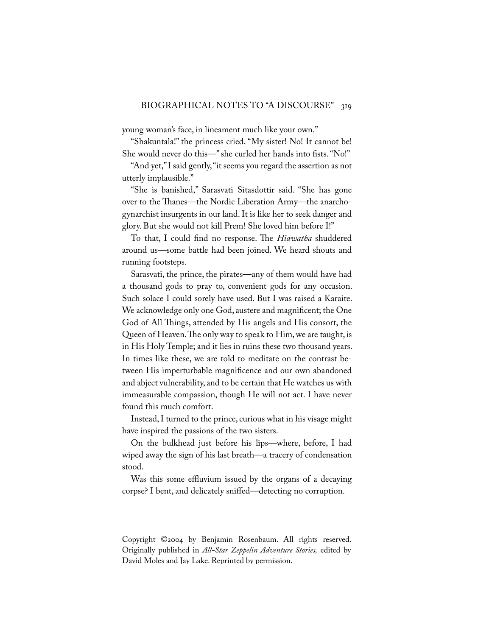young woman's face, in lineament much like your own."

"Shakuntala!" the princess cried. "My sister! No! It cannot be! She would never do this—" she curled her hands into fists. "No!"

"And yet," I said gently, "it seems you regard the assertion as not utterly implausible."

"She is banished," Sarasvati Sitasdottir said. "She has gone over to the Thanes—the Nordic Liberation Army—the anarchogynarchist insurgents in our land. It is like her to seek danger and glory. But she would not kill Prem! She loved him before I!"

To that, I could find no response. The Hiawatha shuddered around us—some battle had been joined. We heard shouts and running footsteps.

Sarasvati, the prince, the pirates—any of them would have had a thousand gods to pray to, convenient gods for any occasion. Such solace I could sorely have used. But I was raised a Karaite. We acknowledge only one God, austere and magnificent; the One God of All Things, attended by His angels and His consort, the Queen of Heaven. The only way to speak to Him, we are taught, is in His Holy Temple; and it lies in ruins these two thousand years. In times like these, we are told to meditate on the contrast between His imperturbable magnificence and our own abandoned and abject vulnerability, and to be certain that He watches us with immeasurable compassion, though He will not act. I have never found this much comfort.

Instead, I turned to the prince, curious what in his visage might have inspired the passions of the two sisters.

On the bulkhead just before his lips—where, before, I had wiped away the sign of his last breath—a tracery of condensation stood.

Was this some effluvium issued by the organs of a decaying corpse? I bent, and delicately sniffed—detecting no corruption.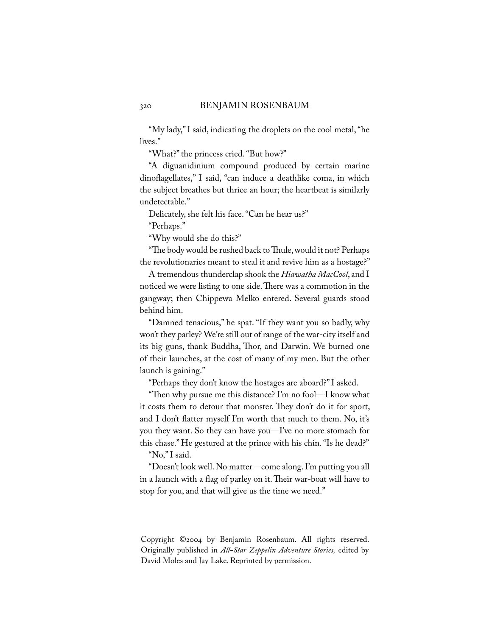"My lady," I said, indicating the droplets on the cool metal, "he lives."

"What?" the princess cried. "But how?"

"A diguanidinium compound produced by certain marine dinoflagellates," I said, "can induce a deathlike coma, in which the subject breathes but thrice an hour; the heartbeat is similarly undetectable."

Delicately, she felt his face. "Can he hear us?"

"Perhaps."

"Why would she do this?"

"The body would be rushed back to Thule, would it not? Perhaps the revolutionaries meant to steal it and revive him as a hostage?"

A tremendous thunderclap shook the *Hiawatha MacCool*, and I noticed we were listing to one side. There was a commotion in the gangway; then Chippewa Melko entered. Several guards stood behind him.

"Damned tenacious," he spat. "If they want you so badly, why won't they parley? We're still out of range of the war-city itself and its big guns, thank Buddha, Thor, and Darwin. We burned one of their launches, at the cost of many of my men. But the other launch is gaining."

"Perhaps they don't know the hostages are aboard?" I asked.

"Then why pursue me this distance? I'm no fool—I know what it costs them to detour that monster. They don't do it for sport, and I don't flatter myself I'm worth that much to them. No, it's you they want. So they can have you—I've no more stomach for this chase." He gestured at the prince with his chin. "Is he dead?"

"No," I said.

"Doesn't look well. No matter—come along. I'm putting you all in a launch with a flag of parley on it. Their war-boat will have to stop for you, and that will give us the time we need."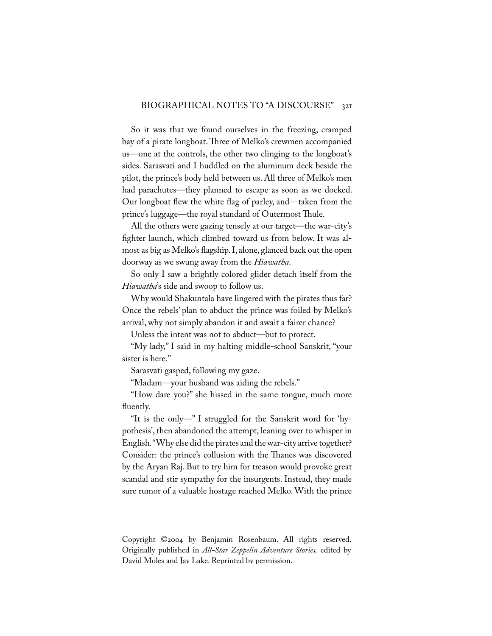So it was that we found ourselves in the freezing, cramped bay of a pirate longboat. Three of Melko's crewmen accompanied us—one at the controls, the other two clinging to the longboat's sides. Sarasvati and I huddled on the aluminum deck beside the pilot, the prince's body held between us. All three of Melko's men had parachutes—they planned to escape as soon as we docked. Our longboat flew the white flag of parley, and—taken from the prince's luggage—the royal standard of Outermost Thule.

All the others were gazing tensely at our target—the war-city's fighter launch, which climbed toward us from below. It was almost as big as Melko's flagship. I, alone, glanced back out the open doorway as we swung away from the *Hiawatha*.

So only I saw a brightly colored glider detach itself from the *Hiawatha*'s side and swoop to follow us.

Why would Shakuntala have lingered with the pirates thus far? Once the rebels' plan to abduct the prince was foiled by Melko's arrival, why not simply abandon it and await a fairer chance?

Unless the intent was not to abduct—but to protect.

"My lady," I said in my halting middle-school Sanskrit, "your sister is here."

Sarasvati gasped, following my gaze.

"Madam—your husband was aiding the rebels."

"How dare you?" she hissed in the same tongue, much more fluently.

"It is the only—" I struggled for the Sanskrit word for 'hypothesis', then abandoned the attempt, leaning over to whisper in English. "Why else did the pirates and the war-city arrive together? Consider: the prince's collusion with the Thanes was discovered by the Aryan Raj. But to try him for treason would provoke great scandal and stir sympathy for the insurgents. Instead, they made sure rumor of a valuable hostage reached Melko. With the prince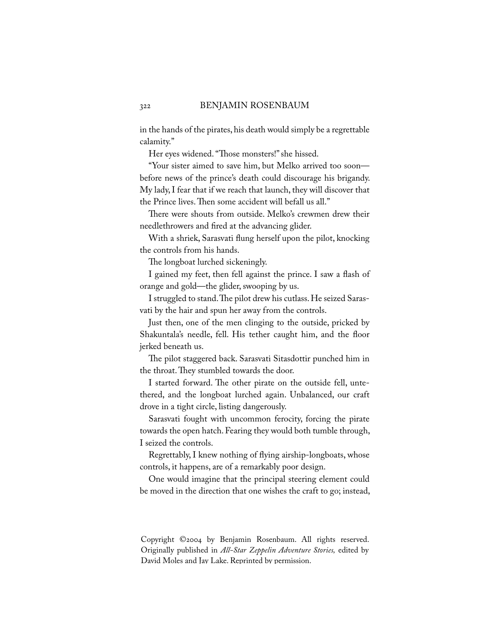in the hands of the pirates, his death would simply be a regrettable calamity."

Her eyes widened. "Those monsters!" she hissed.

"Your sister aimed to save him, but Melko arrived too soon before news of the prince's death could discourage his brigandy. My lady, I fear that if we reach that launch, they will discover that the Prince lives. Then some accident will befall us all."

There were shouts from outside. Melko's crewmen drew their needlethrowers and fired at the advancing glider.

With a shriek, Sarasvati flung herself upon the pilot, knocking the controls from his hands.

The longboat lurched sickeningly.

I gained my feet, then fell against the prince. I saw a flash of orange and gold—the glider, swooping by us.

I struggled to stand. The pilot drew his cutlass. He seized Sarasvati by the hair and spun her away from the controls.

Just then, one of the men clinging to the outside, pricked by Shakuntala's needle, fell. His tether caught him, and the floor jerked beneath us.

The pilot staggered back. Sarasvati Sitasdottir punched him in the throat. They stumbled towards the door.

I started forward. The other pirate on the outside fell, untethered, and the longboat lurched again. Unbalanced, our craft drove in a tight circle, listing dangerously.

Sarasvati fought with uncommon ferocity, forcing the pirate towards the open hatch. Fearing they would both tumble through, I seized the controls.

Regrettably, I knew nothing of flying airship-longboats, whose controls, it happens, are of a remarkably poor design.

One would imagine that the principal steering element could be moved in the direction that one wishes the craft to go; instead,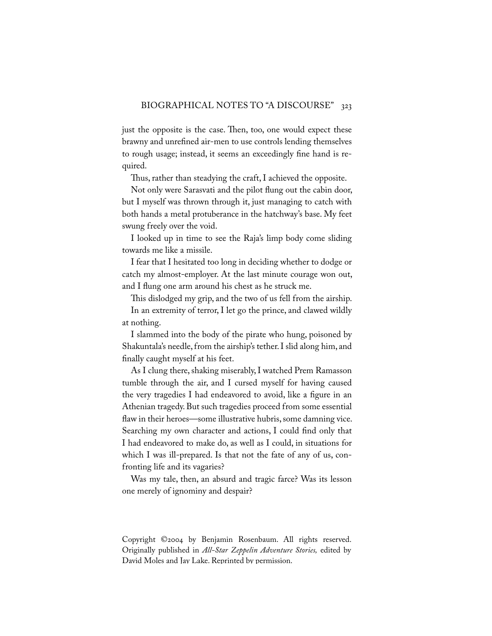just the opposite is the case. Then, too, one would expect these brawny and unrefined air-men to use controls lending themselves to rough usage; instead, it seems an exceedingly fine hand is required.

Thus, rather than steadying the craft, I achieved the opposite.

Not only were Sarasvati and the pilot flung out the cabin door, but I myself was thrown through it, just managing to catch with both hands a metal protuberance in the hatchway's base. My feet swung freely over the void.

I looked up in time to see the Raja's limp body come sliding towards me like a missile.

I fear that I hesitated too long in deciding whether to dodge or catch my almost-employer. At the last minute courage won out, and I flung one arm around his chest as he struck me.

This dislodged my grip, and the two of us fell from the airship. In an extremity of terror, I let go the prince, and clawed wildly at nothing.

I slammed into the body of the pirate who hung, poisoned by Shakuntala's needle, from the airship's tether. I slid along him, and finally caught myself at his feet.

As I clung there, shaking miserably, I watched Prem Ramasson tumble through the air, and I cursed myself for having caused the very tragedies I had endeavored to avoid, like a figure in an Athenian tragedy. But such tragedies proceed from some essential flaw in their heroes—some illustrative hubris, some damning vice. Searching my own character and actions, I could find only that I had endeavored to make do, as well as I could, in situations for which I was ill-prepared. Is that not the fate of any of us, confronting life and its vagaries?

Was my tale, then, an absurd and tragic farce? Was its lesson one merely of ignominy and despair?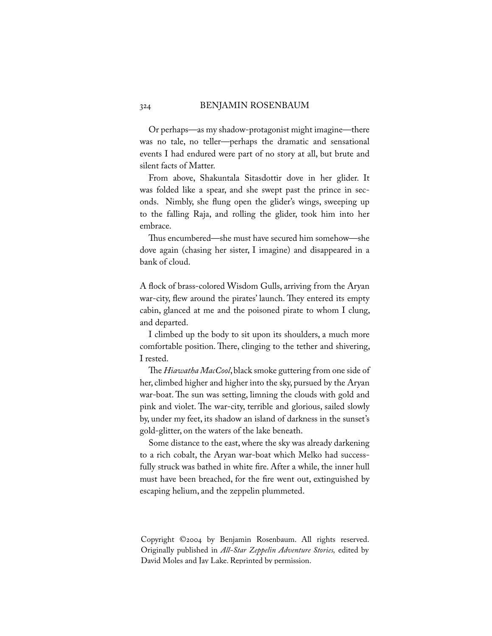Or perhaps—as my shadow-protagonist might imagine—there was no tale, no teller—perhaps the dramatic and sensational events I had endured were part of no story at all, but brute and silent facts of Matter.

From above, Shakuntala Sitasdottir dove in her glider. It was folded like a spear, and she swept past the prince in seconds. Nimbly, she flung open the glider's wings, sweeping up to the falling Raja, and rolling the glider, took him into her embrace.

Thus encumbered—she must have secured him somehow—she dove again (chasing her sister, I imagine) and disappeared in a bank of cloud.

A flock of brass-colored Wisdom Gulls, arriving from the Aryan war-city, flew around the pirates' launch. They entered its empty cabin, glanced at me and the poisoned pirate to whom I clung, and departed.

I climbed up the body to sit upon its shoulders, a much more comfortable position. There, clinging to the tether and shivering, I rested.

The *Hiawatha MacCool*, black smoke guttering from one side of her, climbed higher and higher into the sky, pursued by the Aryan war-boat. The sun was setting, limning the clouds with gold and pink and violet. The war-city, terrible and glorious, sailed slowly by, under my feet, its shadow an island of darkness in the sunset's gold-glitter, on the waters of the lake beneath.

Some distance to the east, where the sky was already darkening to a rich cobalt, the Aryan war-boat which Melko had successfully struck was bathed in white fire. After a while, the inner hull must have been breached, for the fire went out, extinguished by escaping helium, and the zeppelin plummeted.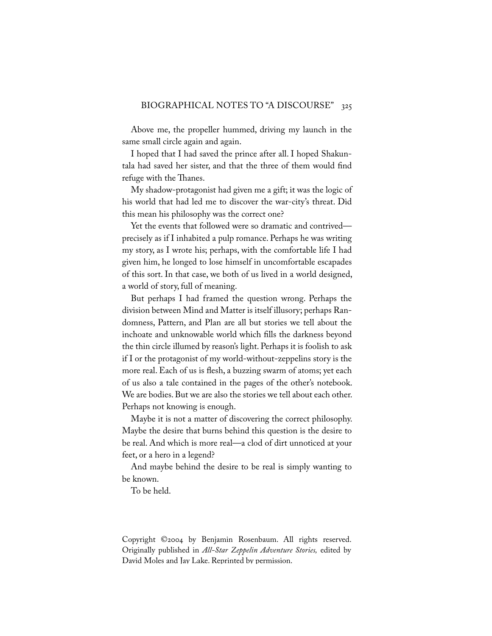Above me, the propeller hummed, driving my launch in the same small circle again and again.

I hoped that I had saved the prince after all. I hoped Shakuntala had saved her sister, and that the three of them would find refuge with the Thanes.

My shadow-protagonist had given me a gift; it was the logic of his world that had led me to discover the war-city's threat. Did this mean his philosophy was the correct one?

Yet the events that followed were so dramatic and contrived precisely as if I inhabited a pulp romance. Perhaps he was writing my story, as I wrote his; perhaps, with the comfortable life I had given him, he longed to lose himself in uncomfortable escapades of this sort. In that case, we both of us lived in a world designed, a world of story, full of meaning.

But perhaps I had framed the question wrong. Perhaps the division between Mind and Matter is itself illusory; perhaps Randomness, Pattern, and Plan are all but stories we tell about the inchoate and unknowable world which fills the darkness beyond the thin circle illumed by reason's light. Perhaps it is foolish to ask if I or the protagonist of my world-without-zeppelins story is the more real. Each of us is flesh, a buzzing swarm of atoms; yet each of us also a tale contained in the pages of the other's notebook. We are bodies. But we are also the stories we tell about each other. Perhaps not knowing is enough.

Maybe it is not a matter of discovering the correct philosophy. Maybe the desire that burns behind this question is the desire to be real. And which is more real—a clod of dirt unnoticed at your feet, or a hero in a legend?

And maybe behind the desire to be real is simply wanting to be known.

To be held.